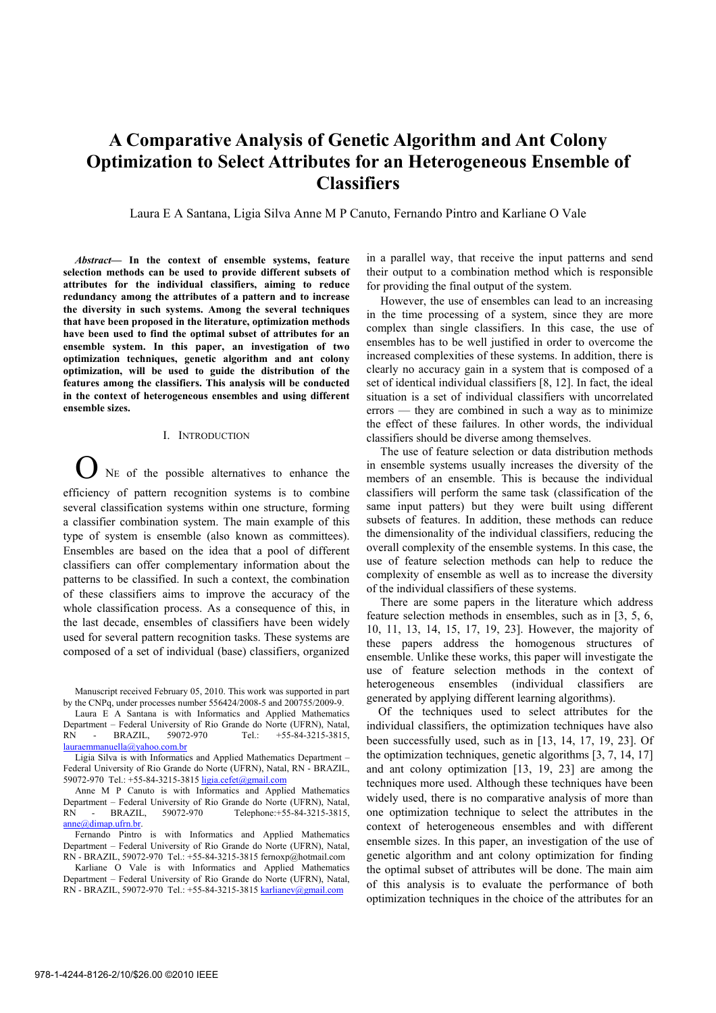# **A Comparative Analysis of Genetic Algorithm and Ant Colony Optimization to Select Attributes for an Heterogeneous Ensemble of Classifiers**

Laura E A Santana, Ligia Silva Anne M P Canuto, Fernando Pintro and Karliane O Vale

*Abstract***— In the context of ensemble systems, feature selection methods can be used to provide different subsets of attributes for the individual classifiers, aiming to reduce redundancy among the attributes of a pattern and to increase the diversity in such systems. Among the several techniques that have been proposed in the literature, optimization methods have been used to find the optimal subset of attributes for an ensemble system. In this paper, an investigation of two optimization techniques, genetic algorithm and ant colony optimization, will be used to guide the distribution of the features among the classifiers. This analysis will be conducted in the context of heterogeneous ensembles and using different ensemble sizes.** 

## I. INTRODUCTION

NE of the possible alternatives to enhance the efficiency of pattern recognition systems is to combine several classification systems within one structure, forming a classifier combination system. The main example of this type of system is ensemble (also known as committees). Ensembles are based on the idea that a pool of different classifiers can offer complementary information about the patterns to be classified. In such a context, the combination of these classifiers aims to improve the accuracy of the whole classification process. As a consequence of this, in the last decade, ensembles of classifiers have been widely used for several pattern recognition tasks. These systems are composed of a set of individual (base) classifiers, organized

Manuscript received February 05, 2010. This work was supported in part by the CNPq, under processes number 556424/2008-5 and 200755/2009-9.

Laura E A Santana is with Informatics and Applied Mathematics Department – Federal University of Rio Grande do Norte (UFRN), Natal, RN - BRAZIL, 59072-970 Tel.: +55-84-3215-3815, lauraemmanuella@yahoo.com.br

Ligia Silva is with Informatics and Applied Mathematics Department – Federal University of Rio Grande do Norte (UFRN), Natal, RN - BRAZIL, 59072-970 Tel.: +55-84-3215-3815 ligia.cefet@gmail.com

Anne M P Canuto is with Informatics and Applied Mathematics Department – Federal University of Rio Grande do Norte (UFRN), Natal, RN - BRAZIL, 59072-970 Telephone:+55-84-3215-3815, anne@dimap.ufrn.br.

Fernando Pintro is with Informatics and Applied Mathematics Department – Federal University of Rio Grande do Norte (UFRN), Natal, RN - BRAZIL, 59072-970 Tel.: +55-84-3215-3815 fernoxp@hotmail.com

Karliane O Vale is with Informatics and Applied Mathematics Department – Federal University of Rio Grande do Norte (UFRN), Natal, RN - BRAZIL, 59072-970 Tel.: +55-84-3215-3815 karlianev@gmail.com

in a parallel way, that receive the input patterns and send their output to a combination method which is responsible for providing the final output of the system.

However, the use of ensembles can lead to an increasing in the time processing of a system, since they are more complex than single classifiers. In this case, the use of ensembles has to be well justified in order to overcome the increased complexities of these systems. In addition, there is clearly no accuracy gain in a system that is composed of a set of identical individual classifiers [8, 12]. In fact, the ideal situation is a set of individual classifiers with uncorrelated errors — they are combined in such a way as to minimize the effect of these failures. In other words, the individual classifiers should be diverse among themselves.

The use of feature selection or data distribution methods in ensemble systems usually increases the diversity of the members of an ensemble. This is because the individual classifiers will perform the same task (classification of the same input patters) but they were built using different subsets of features. In addition, these methods can reduce the dimensionality of the individual classifiers, reducing the overall complexity of the ensemble systems. In this case, the use of feature selection methods can help to reduce the complexity of ensemble as well as to increase the diversity of the individual classifiers of these systems.

There are some papers in the literature which address feature selection methods in ensembles, such as in [3, 5, 6, 10, 11, 13, 14, 15, 17, 19, 23]. However, the majority of these papers address the homogenous structures of ensemble. Unlike these works, this paper will investigate the use of feature selection methods in the context of heterogeneous ensembles (individual classifiers are generated by applying different learning algorithms).

Of the techniques used to select attributes for the individual classifiers, the optimization techniques have also been successfully used, such as in [13, 14, 17, 19, 23]. Of the optimization techniques, genetic algorithms [3, 7, 14, 17] and ant colony optimization [13, 19, 23] are among the techniques more used. Although these techniques have been widely used, there is no comparative analysis of more than one optimization technique to select the attributes in the context of heterogeneous ensembles and with different ensemble sizes. In this paper, an investigation of the use of genetic algorithm and ant colony optimization for finding the optimal subset of attributes will be done. The main aim of this analysis is to evaluate the performance of both optimization techniques in the choice of the attributes for an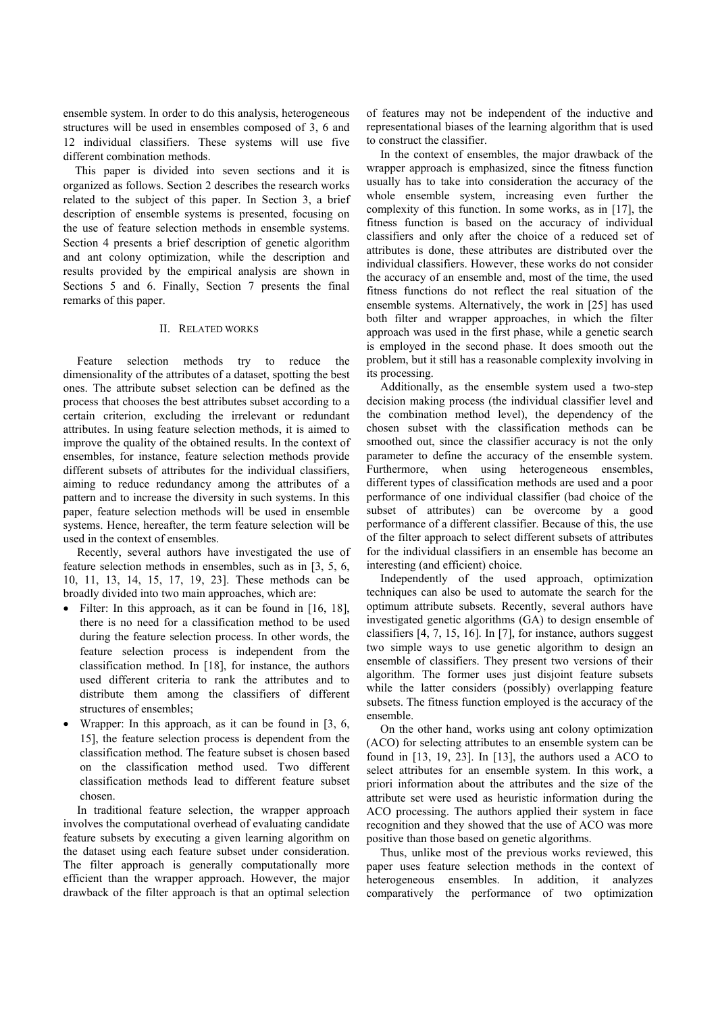ensemble system. In order to do this analysis, heterogeneous structures will be used in ensembles composed of 3, 6 and 12 individual classifiers. These systems will use five different combination methods.

This paper is divided into seven sections and it is organized as follows. Section 2 describes the research works related to the subject of this paper. In Section 3, a brief description of ensemble systems is presented, focusing on the use of feature selection methods in ensemble systems. Section 4 presents a brief description of genetic algorithm and ant colony optimization, while the description and results provided by the empirical analysis are shown in Sections 5 and 6. Finally, Section 7 presents the final remarks of this paper.

# II. RELATED WORKS

Feature selection methods try to reduce the dimensionality of the attributes of a dataset, spotting the best ones. The attribute subset selection can be defined as the process that chooses the best attributes subset according to a certain criterion, excluding the irrelevant or redundant attributes. In using feature selection methods, it is aimed to improve the quality of the obtained results. In the context of ensembles, for instance, feature selection methods provide different subsets of attributes for the individual classifiers, aiming to reduce redundancy among the attributes of a pattern and to increase the diversity in such systems. In this paper, feature selection methods will be used in ensemble systems. Hence, hereafter, the term feature selection will be used in the context of ensembles.

Recently, several authors have investigated the use of feature selection methods in ensembles, such as in [3, 5, 6, 10, 11, 13, 14, 15, 17, 19, 23]. These methods can be broadly divided into two main approaches, which are:

- Filter: In this approach, as it can be found in [16, 18]. there is no need for a classification method to be used during the feature selection process. In other words, the feature selection process is independent from the classification method. In [18], for instance, the authors used different criteria to rank the attributes and to distribute them among the classifiers of different structures of ensembles;
- Wrapper: In this approach, as it can be found in  $[3, 6, 1]$ 15], the feature selection process is dependent from the classification method. The feature subset is chosen based on the classification method used. Two different classification methods lead to different feature subset chosen.

In traditional feature selection, the wrapper approach involves the computational overhead of evaluating candidate feature subsets by executing a given learning algorithm on the dataset using each feature subset under consideration. The filter approach is generally computationally more efficient than the wrapper approach. However, the major drawback of the filter approach is that an optimal selection

of features may not be independent of the inductive and representational biases of the learning algorithm that is used to construct the classifier.

In the context of ensembles, the major drawback of the wrapper approach is emphasized, since the fitness function usually has to take into consideration the accuracy of the whole ensemble system, increasing even further the complexity of this function. In some works, as in [17], the fitness function is based on the accuracy of individual classifiers and only after the choice of a reduced set of attributes is done, these attributes are distributed over the individual classifiers. However, these works do not consider the accuracy of an ensemble and, most of the time, the used fitness functions do not reflect the real situation of the ensemble systems. Alternatively, the work in [25] has used both filter and wrapper approaches, in which the filter approach was used in the first phase, while a genetic search is employed in the second phase. It does smooth out the problem, but it still has a reasonable complexity involving in its processing.

Additionally, as the ensemble system used a two-step decision making process (the individual classifier level and the combination method level), the dependency of the chosen subset with the classification methods can be smoothed out, since the classifier accuracy is not the only parameter to define the accuracy of the ensemble system. Furthermore, when using heterogeneous ensembles, different types of classification methods are used and a poor performance of one individual classifier (bad choice of the subset of attributes) can be overcome by a good performance of a different classifier. Because of this, the use of the filter approach to select different subsets of attributes for the individual classifiers in an ensemble has become an interesting (and efficient) choice.

Independently of the used approach, optimization techniques can also be used to automate the search for the optimum attribute subsets. Recently, several authors have investigated genetic algorithms (GA) to design ensemble of classifiers [4, 7, 15, 16]. In [7], for instance, authors suggest two simple ways to use genetic algorithm to design an ensemble of classifiers. They present two versions of their algorithm. The former uses just disjoint feature subsets while the latter considers (possibly) overlapping feature subsets. The fitness function employed is the accuracy of the ensemble.

On the other hand, works using ant colony optimization (ACO) for selecting attributes to an ensemble system can be found in [13, 19, 23]. In [13], the authors used a ACO to select attributes for an ensemble system. In this work, a priori information about the attributes and the size of the attribute set were used as heuristic information during the ACO processing. The authors applied their system in face recognition and they showed that the use of ACO was more positive than those based on genetic algorithms.

Thus, unlike most of the previous works reviewed, this paper uses feature selection methods in the context of heterogeneous ensembles. In addition, it analyzes comparatively the performance of two optimization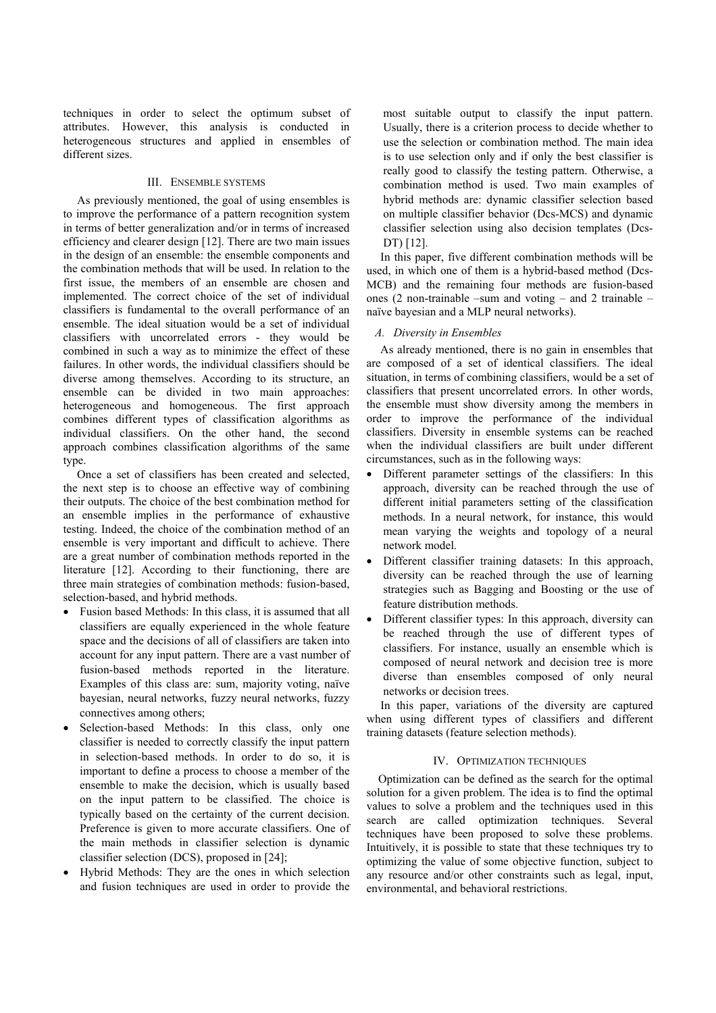techniques in order to select the optimum subset of attributes. However, this analysis is conducted in heterogeneous structures and applied in ensembles of different sizes.

# III. ENSEMBLE SYSTEMS

As previously mentioned, the goal of using ensembles is to improve the performance of a pattern recognition system in terms of better generalization and/or in terms of increased efficiency and clearer design [12]. There are two main issues in the design of an ensemble: the ensemble components and the combination methods that will be used. In relation to the first issue, the members of an ensemble are chosen and implemented. The correct choice of the set of individual classifiers is fundamental to the overall performance of an ensemble. The ideal situation would be a set of individual classifiers with uncorrelated errors - they would be combined in such a way as to minimize the effect of these failures. In other words, the individual classifiers should be diverse among themselves. According to its structure, an ensemble can be divided in two main approaches: heterogeneous and homogeneous. The first approach combines different types of classification algorithms as individual classifiers. On the other hand, the second approach combines classification algorithms of the same type.

Once a set of classifiers has been created and selected, the next step is to choose an effective way of combining their outputs. The choice of the best combination method for an ensemble implies in the performance of exhaustive testing. Indeed, the choice of the combination method of an ensemble is very important and difficult to achieve. There are a great number of combination methods reported in the literature [12]. According to their functioning, there are three main strategies of combination methods: fusion-based, selection-based, and hybrid methods.

- Fusion based Methods: In this class, it is assumed that all classifiers are equally experienced in the whole feature space and the decisions of all of classifiers are taken into account for any input pattern. There are a vast number of fusion-based methods reported in the literature. Examples of this class are: sum, majority voting, naïve bayesian, neural networks, fuzzy neural networks, fuzzy connectives among others;
- Selection-based Methods: In this class, only one classifier is needed to correctly classify the input pattern in selection-based methods. In order to do so, it is important to define a process to choose a member of the ensemble to make the decision, which is usually based on the input pattern to be classified. The choice is typically based on the certainty of the current decision. Preference is given to more accurate classifiers. One of the main methods in classifier selection is dynamic classifier selection (DCS), proposed in [24];
- Hybrid Methods: They are the ones in which selection and fusion techniques are used in order to provide the

most suitable output to classify the input pattern. Usually, there is a criterion process to decide whether to use the selection or combination method. The main idea is to use selection only and if only the best classifier is really good to classify the testing pattern. Otherwise, a combination method is used. Two main examples of hybrid methods are: dynamic classifier selection based on multiple classifier behavior (Dcs-MCS) and dynamic classifier selection using also decision templates (Dcs-DT) [12].

In this paper, five different combination methods will be used, in which one of them is a hybrid-based method (Dcs-MCB) and the remaining four methods are fusion-based ones (2 non-trainable –sum and voting – and 2 trainable – naïve bayesian and a MLP neural networks).

# *A. Diversity in Ensembles*

As already mentioned, there is no gain in ensembles that are composed of a set of identical classifiers. The ideal situation, in terms of combining classifiers, would be a set of classifiers that present uncorrelated errors. In other words, the ensemble must show diversity among the members in order to improve the performance of the individual classifiers. Diversity in ensemble systems can be reached when the individual classifiers are built under different circumstances, such as in the following ways:

- Different parameter settings of the classifiers: In this approach, diversity can be reached through the use of different initial parameters setting of the classification methods. In a neural network, for instance, this would mean varying the weights and topology of a neural network model.
- Different classifier training datasets: In this approach, diversity can be reached through the use of learning strategies such as Bagging and Boosting or the use of feature distribution methods.
- Different classifier types: In this approach, diversity can be reached through the use of different types of classifiers. For instance, usually an ensemble which is composed of neural network and decision tree is more diverse than ensembles composed of only neural networks or decision trees.

In this paper, variations of the diversity are captured when using different types of classifiers and different training datasets (feature selection methods).

# IV. OPTIMIZATION TECHNIQUES

Optimization can be defined as the search for the optimal solution for a given problem. The idea is to find the optimal values to solve a problem and the techniques used in this search are called optimization techniques. Several techniques have been proposed to solve these problems. Intuitively, it is possible to state that these techniques try to optimizing the value of some objective function, subject to any resource and/or other constraints such as legal, input, environmental, and behavioral restrictions.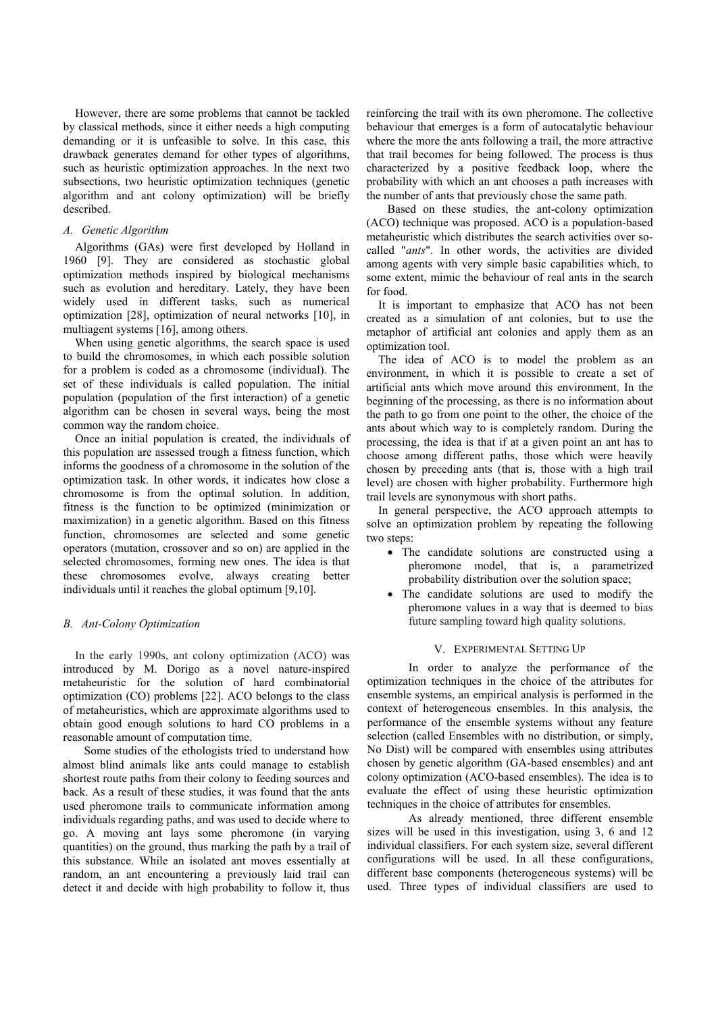However, there are some problems that cannot be tackled by classical methods, since it either needs a high computing demanding or it is unfeasible to solve. In this case, this drawback generates demand for other types of algorithms, such as heuristic optimization approaches. In the next two subsections, two heuristic optimization techniques (genetic algorithm and ant colony optimization) will be briefly described.

# *A. Genetic Algorithm*

Algorithms (GAs) were first developed by Holland in 1960 [9]. They are considered as stochastic global optimization methods inspired by biological mechanisms such as evolution and hereditary. Lately, they have been widely used in different tasks, such as numerical optimization [28], optimization of neural networks [10], in multiagent systems [16], among others.

When using genetic algorithms, the search space is used to build the chromosomes, in which each possible solution for a problem is coded as a chromosome (individual). The set of these individuals is called population. The initial population (population of the first interaction) of a genetic algorithm can be chosen in several ways, being the most common way the random choice.

Once an initial population is created, the individuals of this population are assessed trough a fitness function, which informs the goodness of a chromosome in the solution of the optimization task. In other words, it indicates how close a chromosome is from the optimal solution. In addition, fitness is the function to be optimized (minimization or maximization) in a genetic algorithm. Based on this fitness function, chromosomes are selected and some genetic operators (mutation, crossover and so on) are applied in the selected chromosomes, forming new ones. The idea is that these chromosomes evolve, always creating better individuals until it reaches the global optimum [9,10].

## *B. Ant-Colony Optimization*

In the early 1990s, ant colony optimization (ACO) was introduced by M. Dorigo as a novel nature-inspired metaheuristic for the solution of hard combinatorial optimization (CO) problems [22]. ACO belongs to the class of metaheuristics, which are approximate algorithms used to obtain good enough solutions to hard CO problems in a reasonable amount of computation time.

Some studies of the ethologists tried to understand how almost blind animals like ants could manage to establish shortest route paths from their colony to feeding sources and back. As a result of these studies, it was found that the ants used pheromone trails to communicate information among individuals regarding paths, and was used to decide where to go. A moving ant lays some pheromone (in varying quantities) on the ground, thus marking the path by a trail of this substance. While an isolated ant moves essentially at random, an ant encountering a previously laid trail can detect it and decide with high probability to follow it, thus reinforcing the trail with its own pheromone. The collective behaviour that emerges is a form of autocatalytic behaviour where the more the ants following a trail, the more attractive that trail becomes for being followed. The process is thus characterized by a positive feedback loop, where the probability with which an ant chooses a path increases with the number of ants that previously chose the same path.

Based on these studies, the ant-colony optimization (ACO) technique was proposed. ACO is a population-based metaheuristic which distributes the search activities over socalled "*ants*". In other words, the activities are divided among agents with very simple basic capabilities which, to some extent, mimic the behaviour of real ants in the search for food.

It is important to emphasize that ACO has not been created as a simulation of ant colonies, but to use the metaphor of artificial ant colonies and apply them as an optimization tool.

The idea of ACO is to model the problem as an environment, in which it is possible to create a set of artificial ants which move around this environment. In the beginning of the processing, as there is no information about the path to go from one point to the other, the choice of the ants about which way to is completely random. During the processing, the idea is that if at a given point an ant has to choose among different paths, those which were heavily chosen by preceding ants (that is, those with a high trail level) are chosen with higher probability. Furthermore high trail levels are synonymous with short paths.

In general perspective, the ACO approach attempts to solve an optimization problem by repeating the following two steps:

- The candidate solutions are constructed using a pheromone model, that is, a parametrized probability distribution over the solution space;
- The candidate solutions are used to modify the pheromone values in a way that is deemed to bias future sampling toward high quality solutions.

#### V. EXPERIMENTAL SETTING UP

In order to analyze the performance of the optimization techniques in the choice of the attributes for ensemble systems, an empirical analysis is performed in the context of heterogeneous ensembles. In this analysis, the performance of the ensemble systems without any feature selection (called Ensembles with no distribution, or simply, No Dist) will be compared with ensembles using attributes chosen by genetic algorithm (GA-based ensembles) and ant colony optimization (ACO-based ensembles). The idea is to evaluate the effect of using these heuristic optimization techniques in the choice of attributes for ensembles.

As already mentioned, three different ensemble sizes will be used in this investigation, using 3, 6 and 12 individual classifiers. For each system size, several different configurations will be used. In all these configurations, different base components (heterogeneous systems) will be used. Three types of individual classifiers are used to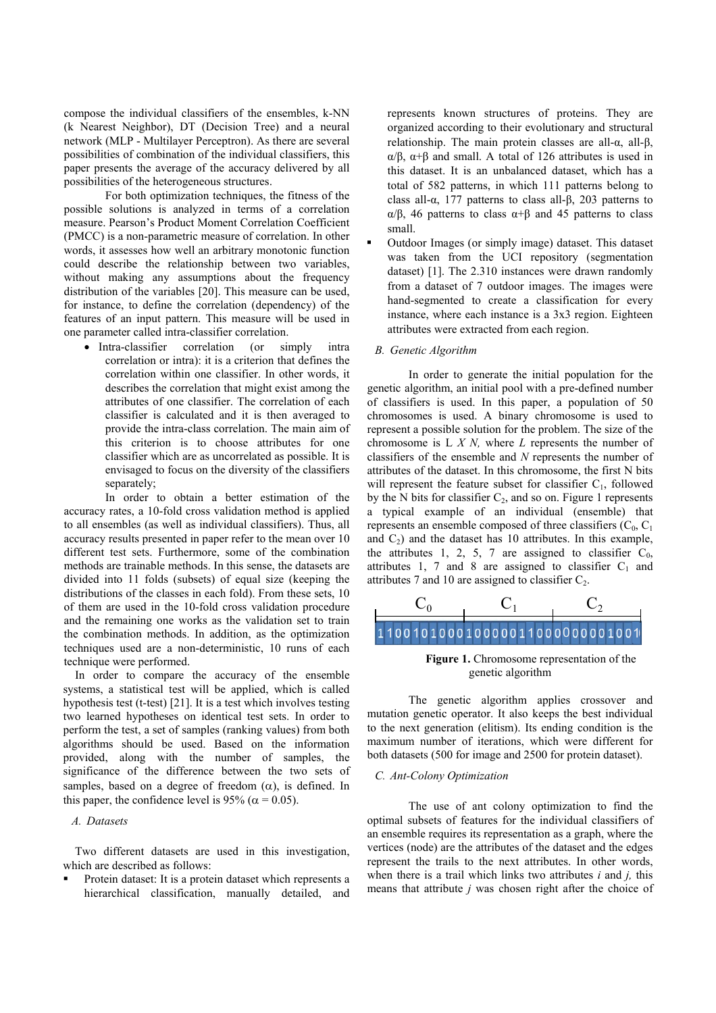compose the individual classifiers of the ensembles, k-NN (k Nearest Neighbor), DT (Decision Tree) and a neural network (MLP - Multilayer Perceptron). As there are several possibilities of combination of the individual classifiers, this paper presents the average of the accuracy delivered by all possibilities of the heterogeneous structures.

For both optimization techniques, the fitness of the possible solutions is analyzed in terms of a correlation measure. Pearson's Product Moment Correlation Coefficient (PMCC) is a non-parametric measure of correlation. In other words, it assesses how well an arbitrary monotonic function could describe the relationship between two variables, without making any assumptions about the frequency distribution of the variables [20]. This measure can be used, for instance, to define the correlation (dependency) of the features of an input pattern. This measure will be used in one parameter called intra-classifier correlation.

• Intra-classifier correlation (or simply intra correlation or intra): it is a criterion that defines the correlation within one classifier. In other words, it describes the correlation that might exist among the attributes of one classifier. The correlation of each classifier is calculated and it is then averaged to provide the intra-class correlation. The main aim of this criterion is to choose attributes for one classifier which are as uncorrelated as possible. It is envisaged to focus on the diversity of the classifiers separately;

In order to obtain a better estimation of the accuracy rates, a 10-fold cross validation method is applied to all ensembles (as well as individual classifiers). Thus, all accuracy results presented in paper refer to the mean over 10 different test sets. Furthermore, some of the combination methods are trainable methods. In this sense, the datasets are divided into 11 folds (subsets) of equal size (keeping the distributions of the classes in each fold). From these sets, 10 of them are used in the 10-fold cross validation procedure and the remaining one works as the validation set to train the combination methods. In addition, as the optimization techniques used are a non-deterministic, 10 runs of each technique were performed.

In order to compare the accuracy of the ensemble systems, a statistical test will be applied, which is called hypothesis test (t-test) [21]. It is a test which involves testing two learned hypotheses on identical test sets. In order to perform the test, a set of samples (ranking values) from both algorithms should be used. Based on the information provided, along with the number of samples, the significance of the difference between the two sets of samples, based on a degree of freedom  $(\alpha)$ , is defined. In this paper, the confidence level is 95% ( $\alpha$  = 0.05).

# *A. Datasets*

Two different datasets are used in this investigation, which are described as follows:

 Protein dataset: It is a protein dataset which represents a hierarchical classification, manually detailed, and represents known structures of proteins. They are organized according to their evolutionary and structural relationship. The main protein classes are all-α, all-β, α/β, α+β and small. A total of 126 attributes is used in this dataset. It is an unbalanced dataset, which has a total of 582 patterns, in which 111 patterns belong to class all-α, 177 patterns to class all-β, 203 patterns to α/β, 46 patterns to class α+β and 45 patterns to class small.

- Outdoor Images (or simply image) dataset. This dataset was taken from the UCI repository (segmentation dataset) [1]. The 2.310 instances were drawn randomly from a dataset of 7 outdoor images. The images were hand-segmented to create a classification for every instance, where each instance is a 3x3 region. Eighteen attributes were extracted from each region.
- *B. Genetic Algorithm*

In order to generate the initial population for the genetic algorithm, an initial pool with a pre-defined number of classifiers is used. In this paper, a population of 50 chromosomes is used. A binary chromosome is used to represent a possible solution for the problem. The size of the chromosome is L *X N,* where *L* represents the number of classifiers of the ensemble and *N* represents the number of attributes of the dataset. In this chromosome, the first N bits will represent the feature subset for classifier  $C_1$ , followed by the N bits for classifier  $C_2$ , and so on. Figure 1 represents a typical example of an individual (ensemble) that represents an ensemble composed of three classifiers  $(C_0, C_1)$ and  $C_2$ ) and the dataset has 10 attributes. In this example, the attributes 1, 2, 5, 7 are assigned to classifier  $C_0$ , attributes 1, 7 and 8 are assigned to classifier  $C_1$  and attributes 7 and 10 are assigned to classifier  $C_2$ .



genetic algorithm

The genetic algorithm applies crossover and mutation genetic operator. It also keeps the best individual to the next generation (elitism). Its ending condition is the maximum number of iterations, which were different for both datasets (500 for image and 2500 for protein dataset).

# *C. Ant-Colony Optimization*

The use of ant colony optimization to find the optimal subsets of features for the individual classifiers of an ensemble requires its representation as a graph, where the vertices (node) are the attributes of the dataset and the edges represent the trails to the next attributes. In other words, when there is a trail which links two attributes *i* and *j,* this means that attribute *j* was chosen right after the choice of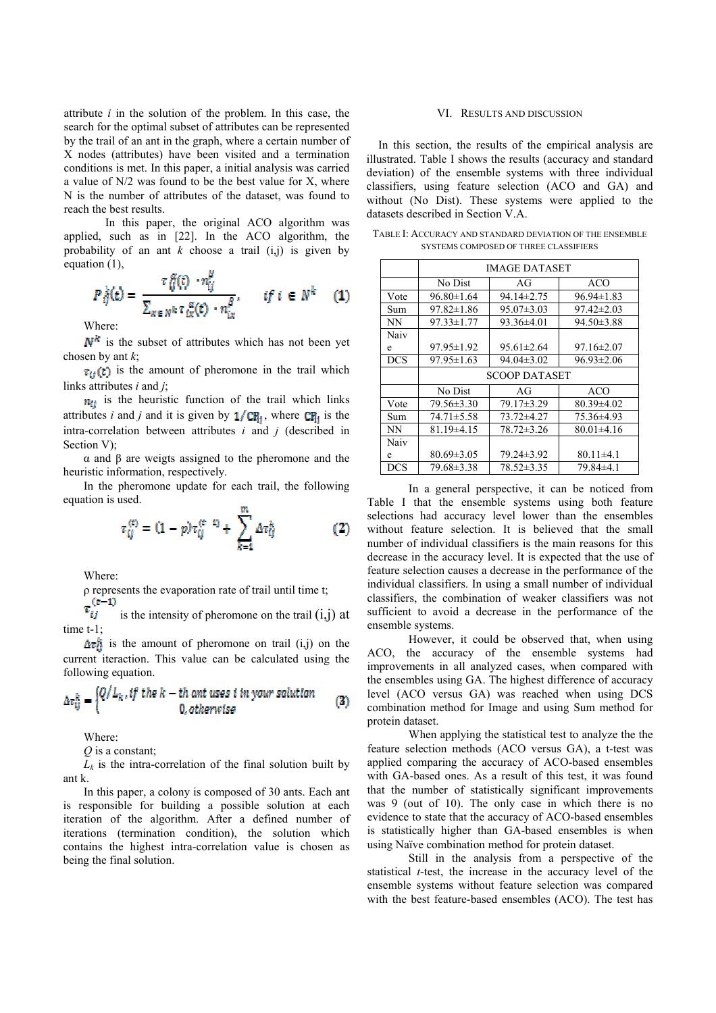attribute *i* in the solution of the problem. In this case, the search for the optimal subset of attributes can be represented by the trail of an ant in the graph, where a certain number of X nodes (attributes) have been visited and a termination conditions is met. In this paper, a initial analysis was carried a value of N/2 was found to be the best value for X, where N is the number of attributes of the dataset, was found to reach the best results.

In this paper, the original ACO algorithm was applied, such as in [22]. In the ACO algorithm, the probability of an ant  $k$  choose a trail  $(i, j)$  is given by equation (1),

$$
P_{ij}^{k}(t) = \frac{\tau_{ij}^{\alpha}(t) \cdot n_{ij}^{\beta}}{\sum_{x \in N^{k}} \tau_{ix}^{\alpha}(t) \cdot n_{ix}^{\beta}}, \quad \text{if } i \in N^{k} \quad (1)
$$

Where:

 $N^k$  is the subset of attributes which has not been yet chosen by ant *k*;

 $\tau_{ii}(t)$  is the amount of pheromone in the trail which links attributes *i* and *j*;

 $n_{ij}$  is the heuristic function of the trail which links attributes *i* and *j* and it is given by  $1/CP_{ii}$ , where  $CP_{ii}$  is the intra-correlation between attributes *i* and *j* (described in Section V):

α and β are weigts assigned to the pheromone and the heuristic information, respectively.

In the pheromone update for each trail, the following equation is used. in.

$$
\tau_{ij}^{(t)} = (1-p)\tau_{ij}^{(t-1)} + \sum_{k=1}^{m} \Delta \tau_{ij}^{k}
$$
 (2)

Where:

ρ represents the evaporation rate of trail until time t;

 $\tau_{ij}^{(r-1)}$  is the intensity of pheromone on the trail  $(i,j)$  at time t-1;

 $\Delta \tau_{ij}^k$  is the amount of pheromone on trail (i,j) on the current iteraction. This value can be calculated using the following equation.

$$
\Delta \tau_{ij}^k = \begin{cases} Q/L_k, if \text{ the } k-th \text{ and uses } i \text{ in your solution} \\ 0, otherwise \end{cases} \tag{3}
$$

Where:

*Q* is a constant;

 $L_k$  is the intra-correlation of the final solution built by ant k.

In this paper, a colony is composed of 30 ants. Each ant is responsible for building a possible solution at each iteration of the algorithm. After a defined number of iterations (termination condition), the solution which contains the highest intra-correlation value is chosen as being the final solution.

# VI. RESULTS AND DISCUSSION

In this section, the results of the empirical analysis are illustrated. Table I shows the results (accuracy and standard deviation) of the ensemble systems with three individual classifiers, using feature selection (ACO and GA) and without (No Dist). These systems were applied to the datasets described in Section V.A.

TABLE I: ACCURACY AND STANDARD DEVIATION OF THE ENSEMBLE SYSTEMS COMPOSED OF THREE CLASSIFIERS

|            | <b>IMAGE DATASET</b> |                  |                  |  |
|------------|----------------------|------------------|------------------|--|
|            | No Dist              | AG               | ACO              |  |
| Vote       | $96.80 \pm 1.64$     | $94.14 \pm 2.75$ | $96.94 \pm 1.83$ |  |
| Sum        | $97.82 \pm 1.86$     | $95.07 \pm 3.03$ | $97.42 \pm 2.03$ |  |
| NΝ         | $97.33 \pm 1.77$     | 93.36±4.01       | $94.50 \pm 3.88$ |  |
| Naiv       |                      |                  |                  |  |
| e          | $97.95 \pm 1.92$     | $95.61 \pm 2.64$ | $97.16 \pm 2.07$ |  |
| <b>DCS</b> | $97.95 \pm 1.63$     | $94.04\pm3.02$   | $96.93 \pm 2.06$ |  |
|            | SCOOP DATASET        |                  |                  |  |
|            | No Dist              | AG               | <b>ACO</b>       |  |
| Vote       | 79.56±3.30           | 79.17±3.29       | $80.39 \pm 4.02$ |  |
| Sum        | $74.71 \pm 5.58$     | 73.72±4.27       | 75.36±4.93       |  |
| NΝ         | $81.19\pm4.15$       | 78.72±3.26       | $80.01 \pm 4.16$ |  |
| Naiv       |                      |                  |                  |  |
| e          | $80.69 \pm 3.05$     | 79.24±3.92       | $80.11 \pm 4.1$  |  |
| <b>DCS</b> | 79.68 ± 3.38         | 78.52±3.35       | 79.84±4.1        |  |

In a general perspective, it can be noticed from Table I that the ensemble systems using both feature selections had accuracy level lower than the ensembles without feature selection. It is believed that the small number of individual classifiers is the main reasons for this decrease in the accuracy level. It is expected that the use of feature selection causes a decrease in the performance of the individual classifiers. In using a small number of individual classifiers, the combination of weaker classifiers was not sufficient to avoid a decrease in the performance of the ensemble systems.

However, it could be observed that, when using ACO, the accuracy of the ensemble systems had improvements in all analyzed cases, when compared with the ensembles using GA. The highest difference of accuracy level (ACO versus GA) was reached when using DCS combination method for Image and using Sum method for protein dataset.

When applying the statistical test to analyze the the feature selection methods (ACO versus GA), a t-test was applied comparing the accuracy of ACO-based ensembles with GA-based ones. As a result of this test, it was found that the number of statistically significant improvements was 9 (out of 10). The only case in which there is no evidence to state that the accuracy of ACO-based ensembles is statistically higher than GA-based ensembles is when using Naïve combination method for protein dataset.

Still in the analysis from a perspective of the statistical *t*-test, the increase in the accuracy level of the ensemble systems without feature selection was compared with the best feature-based ensembles (ACO). The test has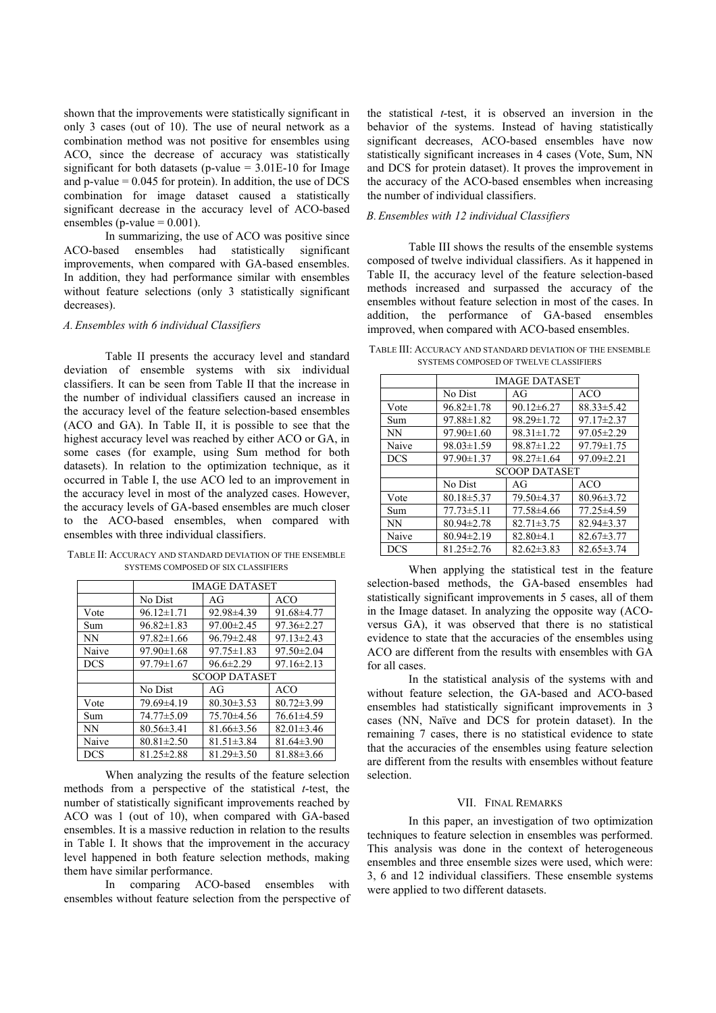shown that the improvements were statistically significant in only 3 cases (out of 10). The use of neural network as a combination method was not positive for ensembles using ACO, since the decrease of accuracy was statistically significant for both datasets (p-value  $= 3.01E-10$  for Image and p-value  $= 0.045$  for protein). In addition, the use of DCS combination for image dataset caused a statistically significant decrease in the accuracy level of ACO-based ensembles (p-value  $= 0.001$ ).

In summarizing, the use of ACO was positive since<br>sed ensembles had statistically significant ACO-based ensembles had statistically significant improvements, when compared with GA-based ensembles. In addition, they had performance similar with ensembles without feature selections (only 3 statistically significant decreases).

# *A.Ensembles with 6 individual Classifiers*

Table II presents the accuracy level and standard deviation of ensemble systems with six individual classifiers. It can be seen from Table II that the increase in the number of individual classifiers caused an increase in the accuracy level of the feature selection-based ensembles (ACO and GA). In Table II, it is possible to see that the highest accuracy level was reached by either ACO or GA, in some cases (for example, using Sum method for both datasets). In relation to the optimization technique, as it occurred in Table I, the use ACO led to an improvement in the accuracy level in most of the analyzed cases. However, the accuracy levels of GA-based ensembles are much closer to the ACO-based ensembles, when compared with ensembles with three individual classifiers.

TABLE II: ACCURACY AND STANDARD DEVIATION OF THE ENSEMBLE SYSTEMS COMPOSED OF SIX CLASSIFIERS

|            | <b>IMAGE DATASET</b> |                  |                  |  |
|------------|----------------------|------------------|------------------|--|
|            | No Dist              | AG               | ACO              |  |
| Vote       | $96.12 \pm 1.71$     | 92.98±4.39       | 91.68±4.77       |  |
| Sum        | $96.82 \pm 1.83$     | 97.00±2.45       | $97.36 \pm 2.27$ |  |
| NN         | $97.82 \pm 1.66$     | $96.79 \pm 2.48$ | $97.13 \pm 2.43$ |  |
| Naive      | $97.90 \pm 1.68$     | $97.75 \pm 1.83$ | $97.50 \pm 2.04$ |  |
| <b>DCS</b> | $97.79 \pm 1.67$     | $96.6 \pm 2.29$  | $97.16 \pm 2.13$ |  |
|            | <b>SCOOP DATASET</b> |                  |                  |  |
|            | No Dist              | AG               | ACO              |  |
| Vote       | 79.69±4.19           | $80.30 \pm 3.53$ | $80.72 \pm 3.99$ |  |
| Sum        | 74.77±5.09           | 75.70 ± 4.56     | 76.61±4.59       |  |
| <b>NN</b>  | $80.56 \pm 3.41$     | $81.66 \pm 3.56$ | $82.01 \pm 3.46$ |  |
| Naive      | $80.81 \pm 2.50$     | $81.51 \pm 3.84$ | $81.64 \pm 3.90$ |  |
| <b>DCS</b> | $81.25 \pm 2.88$     | $81.29 \pm 3.50$ | $81.88 \pm 3.66$ |  |

When analyzing the results of the feature selection methods from a perspective of the statistical *t*-test, the number of statistically significant improvements reached by ACO was 1 (out of 10), when compared with GA-based ensembles. It is a massive reduction in relation to the results in Table I. It shows that the improvement in the accuracy level happened in both feature selection methods, making them have similar performance.

In comparing ACO-based ensembles with ensembles without feature selection from the perspective of the statistical *t*-test, it is observed an inversion in the behavior of the systems. Instead of having statistically significant decreases, ACO-based ensembles have now statistically significant increases in 4 cases (Vote, Sum, NN and DCS for protein dataset). It proves the improvement in the accuracy of the ACO-based ensembles when increasing the number of individual classifiers.

# *B.Ensembles with 12 individual Classifiers*

Table III shows the results of the ensemble systems composed of twelve individual classifiers. As it happened in Table II, the accuracy level of the feature selection-based methods increased and surpassed the accuracy of the ensembles without feature selection in most of the cases. In addition, the performance of GA-based ensembles improved, when compared with ACO-based ensembles.

TABLE III: ACCURACY AND STANDARD DEVIATION OF THE ENSEMBLE SYSTEMS COMPOSED OF TWELVE CLASSIFIERS

|            | <b>IMAGE DATASET</b> |                  |                  |  |
|------------|----------------------|------------------|------------------|--|
|            | No Dist              | AG               | ACO              |  |
| Vote       | $96.82 \pm 1.78$     | $90.12 \pm 6.27$ | $88.33 \pm 5.42$ |  |
| Sum        | $97.88 \pm 1.82$     | 98.29±1.72       | $97.17 \pm 2.37$ |  |
| NN         | $97.90 \pm 1.60$     | $98.31 \pm 1.72$ | $97.05 \pm 2.29$ |  |
| Naive      | $98.03 \pm 1.59$     | 98.87±1.22       | $97.79 \pm 1.75$ |  |
| <b>DCS</b> | $97.90 \pm 1.37$     | $98.27 \pm 1.64$ | $97.09 \pm 2.21$ |  |
|            | <b>SCOOP DATASET</b> |                  |                  |  |
|            | No Dist              | AG               | <b>ACO</b>       |  |
| Vote       | $80.18 \pm 5.37$     | 79.50±4.37       | $80.96 \pm 3.72$ |  |
| Sum        | $77.73 \pm 5.11$     | 77.58±4.66       | 77.25±4.59       |  |
| NΝ         | $80.94 \pm 2.78$     | $82.71 \pm 3.75$ | $82.94 \pm 3.37$ |  |
| Naive      | $80.94 \pm 2.19$     | $82.80\pm4.1$    | $82.67 \pm 3.77$ |  |
| DCS        | $81.25 \pm 2.76$     | $82.62 \pm 3.83$ | $82.65 \pm 3.74$ |  |

When applying the statistical test in the feature selection-based methods, the GA-based ensembles had statistically significant improvements in 5 cases, all of them in the Image dataset. In analyzing the opposite way (ACOversus GA), it was observed that there is no statistical evidence to state that the accuracies of the ensembles using ACO are different from the results with ensembles with GA for all cases.

In the statistical analysis of the systems with and without feature selection, the GA-based and ACO-based ensembles had statistically significant improvements in 3 cases (NN, Naïve and DCS for protein dataset). In the remaining 7 cases, there is no statistical evidence to state that the accuracies of the ensembles using feature selection are different from the results with ensembles without feature selection.

# VII. FINAL REMARKS

In this paper, an investigation of two optimization techniques to feature selection in ensembles was performed. This analysis was done in the context of heterogeneous ensembles and three ensemble sizes were used, which were: 3, 6 and 12 individual classifiers. These ensemble systems were applied to two different datasets.